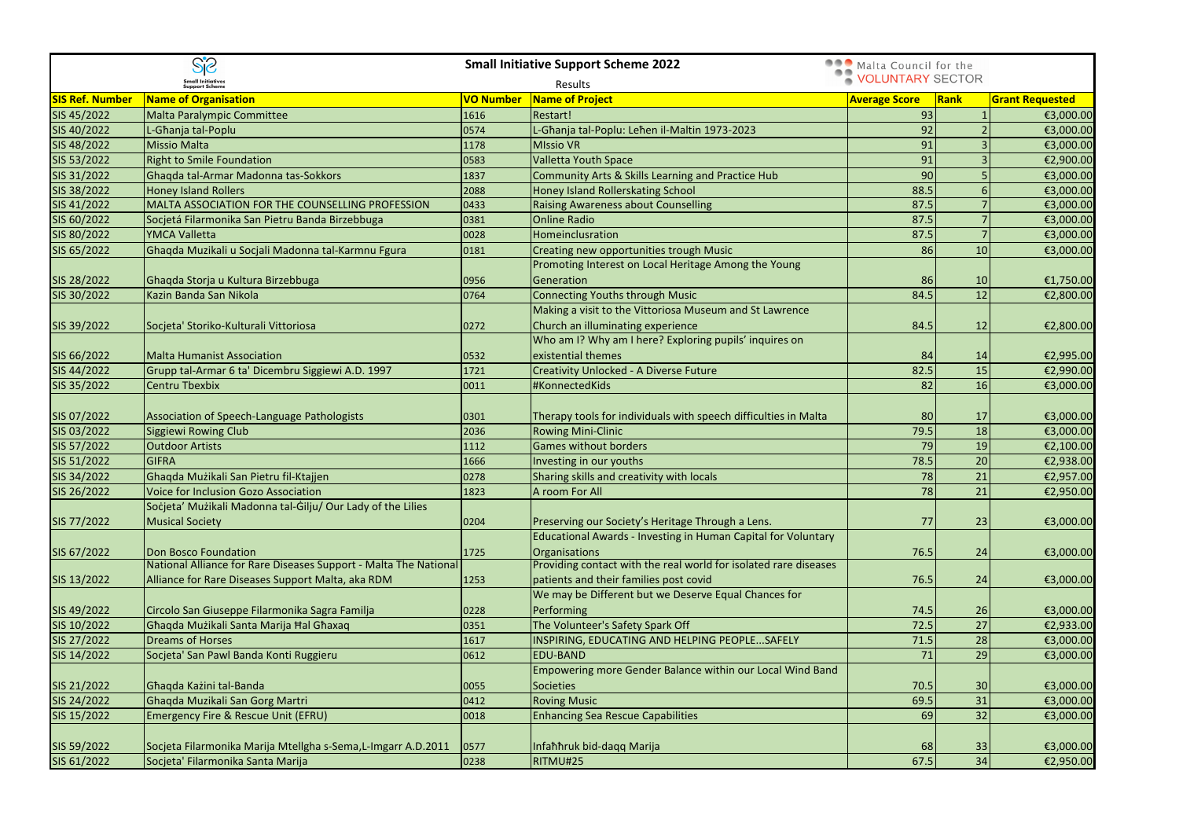|                        | $S_1^2S$                                                         |           | <b>Small Initiative Support Scheme 2022</b>                      | Malta Council for the |           |                        |
|------------------------|------------------------------------------------------------------|-----------|------------------------------------------------------------------|-----------------------|-----------|------------------------|
|                        | <b>Small Initiatives<br/>Support Scheme</b>                      |           | Results                                                          | VOLUNTARY SECTOR      |           |                        |
| <b>SIS Ref. Number</b> | <b>Name of Organisation</b>                                      | VO Number | Name of Project                                                  | <b>Average Score</b>  | Rank      | <b>Grant Requested</b> |
| SIS 45/2022            | Malta Paralympic Committee                                       | 1616      | Restart!                                                         | 93                    |           | €3,000.00              |
| SIS 40/2022            | L-Ghanja tal-Poplu                                               | 0574      | L-Għanja tal-Poplu: Leħen il-Maltin 1973-2023                    | 92                    |           | €3,000.00              |
| SIS 48/2022            | <b>Missio Malta</b>                                              | 1178      | <b>MIssio VR</b>                                                 | 91                    |           | €3,000.00              |
| SIS 53/2022            | <b>Right to Smile Foundation</b>                                 | 0583      | <b>Valletta Youth Space</b>                                      | 91                    |           | €2,900.00              |
| SIS 31/2022            | Ghaqda tal-Armar Madonna tas-Sokkors                             | 1837      | Community Arts & Skills Learning and Practice Hub                | 90                    |           | €3,000.00              |
| SIS 38/2022            | <b>Honey Island Rollers</b>                                      | 2088      | Honey Island Rollerskating School                                | 88.5                  |           | €3,000.00              |
| SIS 41/2022            | MALTA ASSOCIATION FOR THE COUNSELLING PROFESSION                 | 0433      | <b>Raising Awareness about Counselling</b>                       | 87.5                  |           | €3,000.00              |
| SIS 60/2022            | Socjetá Filarmonika San Pietru Banda Birzebbuga                  | 0381      | <b>Online Radio</b>                                              | 87.5                  |           | €3,000.00              |
| SIS 80/2022            | <b>YMCA Valletta</b>                                             | 0028      | <b>Homeinclusration</b>                                          | 87.5                  |           | €3,000.00              |
| SIS 65/2022            | Ghaqda Muzikali u Socjali Madonna tal-Karmnu Fgura               | 0181      | Creating new opportunities trough Music                          | 86                    | 10        | €3,000.00              |
|                        |                                                                  |           | Promoting Interest on Local Heritage Among the Young             |                       |           |                        |
| SIS 28/2022            | Ghaqda Storja u Kultura Birzebbuga                               | 0956      | Generation                                                       | 86                    | 10        | €1,750.00              |
| SIS 30/2022            | Kazin Banda San Nikola                                           | 0764      | <b>Connecting Youths through Music</b>                           | 84.5                  | 12        | €2,800.00              |
|                        |                                                                  |           | Making a visit to the Vittoriosa Museum and St Lawrence          |                       |           |                        |
| SIS 39/2022            | Socjeta' Storiko-Kulturali Vittoriosa                            | 0272      | Church an illuminating experience                                | 84.5                  | 12        | €2,800.00              |
|                        |                                                                  |           | Who am I? Why am I here? Exploring pupils' inquires on           |                       |           |                        |
| SIS 66/2022            | <b>Malta Humanist Association</b>                                | 0532      | existential themes                                               | 84                    | 14        | €2,995.00              |
| SIS 44/2022            | Grupp tal-Armar 6 ta' Dicembru Siggiewi A.D. 1997                | 1721      | <b>Creativity Unlocked - A Diverse Future</b>                    | 82.5                  | 15        | €2,990.00              |
| SIS 35/2022            | <b>Centru Tbexbix</b>                                            | 0011      | #KonnectedKids                                                   | 82                    | 16        | €3,000.00              |
|                        |                                                                  |           |                                                                  |                       |           |                        |
| SIS 07/2022            | Association of Speech-Language Pathologists                      | 0301      | Therapy tools for individuals with speech difficulties in Malta  | 80                    | 17        | €3,000.00              |
| SIS 03/2022            | <b>Siggiewi Rowing Club</b>                                      | 2036      | <b>Rowing Mini-Clinic</b>                                        | 79.5                  | 18        | €3,000.00              |
| SIS 57/2022            | <b>Outdoor Artists</b>                                           | 1112      | Games without borders                                            | 79                    | 19        | €2,100.00              |
| SIS 51/2022            | <b>GIFRA</b>                                                     | 1666      | Investing in our youths                                          | 78.5                  | 20        | €2,938.00              |
| SIS 34/2022            | Ghaqda Muzikali San Pietru fil-Ktajjen                           | 0278      | Sharing skills and creativity with locals                        | 78                    | 21        | €2,957.00              |
| SIS 26/2022            | Voice for Inclusion Gozo Association                             | 1823      | A room For All                                                   | <b>78</b>             | 21        | €2,950.00              |
|                        | Socjeta' Muzikali Madonna tal-Gilju/ Our Lady of the Lilies      |           |                                                                  |                       |           |                        |
| SIS 77/2022            | Musical Society                                                  | 0204      | Preserving our Society's Heritage Through a Lens.                | 77                    | 23        | €3,000.00              |
|                        |                                                                  |           | Educational Awards - Investing in Human Capital for Voluntary    |                       |           |                        |
| SIS 67/2022            | Don Bosco Foundation                                             | 1725      | Organisations                                                    | 76.5                  | 24        | €3,000.00              |
|                        | National Alliance for Rare Diseases Support - Malta The National |           | Providing contact with the real world for isolated rare diseases |                       |           |                        |
| SIS 13/2022            | Alliance for Rare Diseases Support Malta, aka RDM                | 1253      | patients and their families post covid                           | 76.5                  | 24        | €3,000.00              |
|                        |                                                                  |           | We may be Different but we Deserve Equal Chances for             |                       |           |                        |
| SIS 49/2022            | Circolo San Giuseppe Filarmonika Sagra Familja                   | 0228      | Performing                                                       | 74.5                  | 26        | €3,000.00              |
| SIS 10/2022            | Ghaqda Muzikali Santa Marija Hal Ghaxaq                          | 0351      | The Volunteer's Safety Spark Off                                 | 72.5                  | 27        | €2,933.00              |
| SIS 27/2022            | <b>Dreams of Horses</b>                                          | 1617      | INSPIRING, EDUCATING AND HELPING PEOPLESAFELY                    | 71.5                  | <b>28</b> | €3,000.00              |
| SIS 14/2022            | Socjeta' San Pawl Banda Konti Ruggieru                           | 0612      | <b>EDU-BAND</b>                                                  | 71                    | 29        | €3,000.00              |
|                        |                                                                  |           | Empowering more Gender Balance within our Local Wind Band        |                       |           |                        |
| SIS 21/2022            | Ghaqda Kazini tal-Banda                                          | 0055      | Societies                                                        | 70.5                  | 30        | €3,000.00              |
| SIS 24/2022            | Ghaqda Muzikali San Gorg Martri                                  | 0412      | <b>Roving Music</b>                                              | 69.5                  | 31        | €3,000.00              |
| SIS 15/2022            | Emergency Fire & Rescue Unit (EFRU)                              | 0018      | <b>Enhancing Sea Rescue Capabilities</b>                         | 69                    | 32        | €3,000.00              |
|                        |                                                                  |           |                                                                  |                       |           |                        |
| SIS 59/2022            | Socjeta Filarmonika Marija Mtellgha s-Sema, L-Imgarr A.D.2011    | 0577      | Infahhruk bid-daqq Marija                                        | 68                    | 33        | €3,000.00              |
| SIS 61/2022            | Socjeta' Filarmonika Santa Marija                                | 0238      | RITMU#25                                                         | 67.5                  | 34        | €2,950.00              |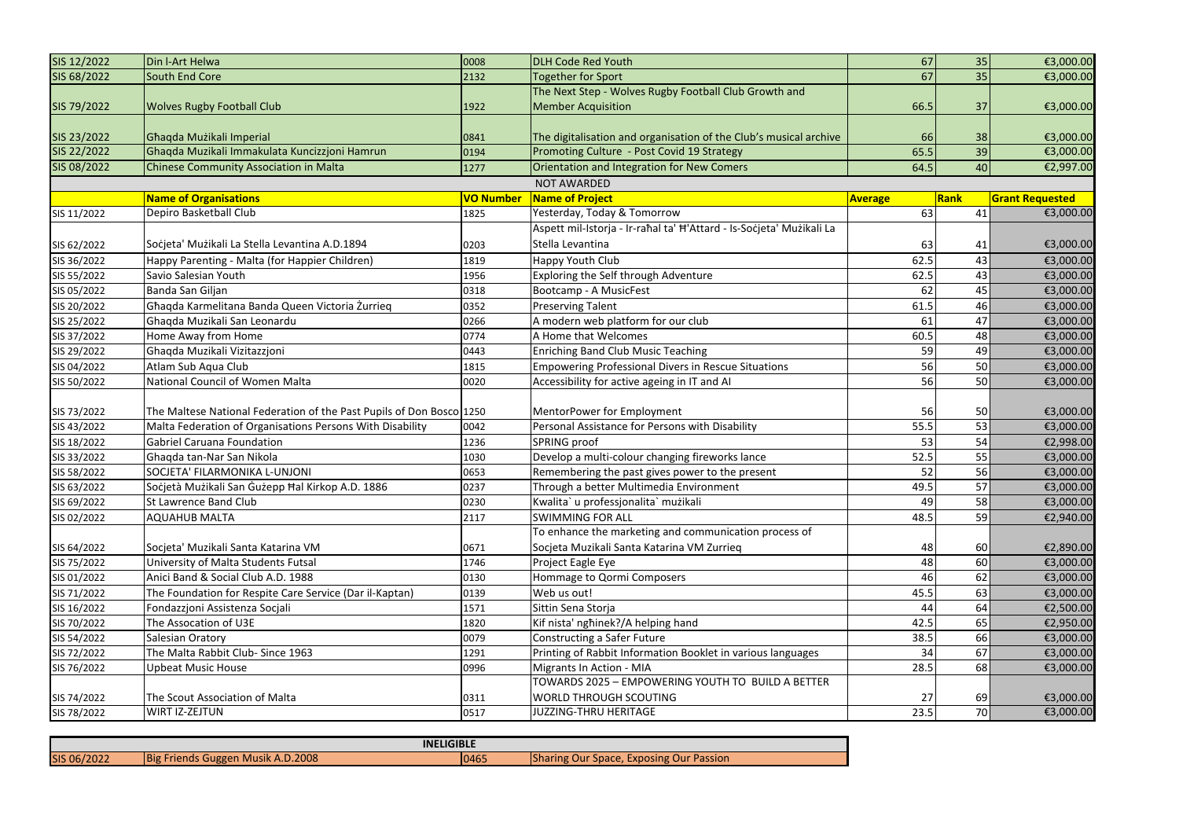| SIS 12/2022 | Din I-Art Helwa                                                      | 0008             | <b>DLH Code Red Youth</b>                                            | 67             | 35          | €3,000.00              |
|-------------|----------------------------------------------------------------------|------------------|----------------------------------------------------------------------|----------------|-------------|------------------------|
| SIS 68/2022 | South End Core                                                       | 2132             | Together for Sport                                                   | 67             | 35          | €3,000.00              |
|             |                                                                      |                  | The Next Step - Wolves Rugby Football Club Growth and                |                |             |                        |
| SIS 79/2022 | <b>Wolves Rugby Football Club</b>                                    | 1922             | <b>Member Acquisition</b>                                            | 66.5           | 37          | €3,000.00              |
|             |                                                                      |                  |                                                                      |                |             |                        |
| SIS 23/2022 | Ghaqda Muzikali Imperial                                             | 0841             | The digitalisation and organisation of the Club's musical archive    | 66             | 38          | €3,000.00              |
| SIS 22/2022 | Ghaqda Muzikali Immakulata Kuncizzjoni Hamrun                        | 0194             | Promoting Culture - Post Covid 19 Strategy                           | 65.5           | 39          | €3,000.00              |
| SIS 08/2022 | Chinese Community Association in Malta                               | 1277             | Orientation and Integration for New Comers                           | 64.5           | 40          | €2,997.00              |
|             |                                                                      |                  | <b>NOT AWARDED</b>                                                   |                |             |                        |
|             | <b>Name of Organisations</b>                                         | <b>VO Number</b> | Name of Project                                                      | <b>Average</b> | <b>Rank</b> | <b>Grant Requested</b> |
| SIS 11/2022 | Depiro Basketball Club                                               | 1825             | Yesterday, Today & Tomorrow                                          | 63             | 41          | €3,000.00              |
|             |                                                                      |                  | Aspett mil-Istorja - Ir-raħal ta' Ħ'Attard - Is-Soċjeta' Mużikali La |                |             |                        |
| SIS 62/2022 | Socjeta' Muzikali La Stella Levantina A.D.1894                       | 0203             | Stella Levantina                                                     | 63             | 41          | €3,000.00              |
| SIS 36/2022 | Happy Parenting - Malta (for Happier Children)                       | 1819             | Happy Youth Club                                                     | 62.5           | 43          | €3,000.00              |
| SIS 55/2022 | Savio Salesian Youth                                                 | 1956             | Exploring the Self through Adventure                                 | 62.5           | 43          | €3,000.00              |
| SIS 05/2022 | Banda San Giljan                                                     | 0318             | Bootcamp - A MusicFest                                               | 62             | 45          | €3,000.00              |
| SIS 20/2022 | Ghaqda Karmelitana Banda Queen Victoria Żurrieq                      | 0352             | <b>Preserving Talent</b>                                             | 61.5           | 46          | €3,000.00              |
| SIS 25/2022 | Ghaqda Muzikali San Leonardu                                         | 0266             | A modern web platform for our club                                   | 61             | 47          | €3,000.00              |
| SIS 37/2022 | Home Away from Home                                                  | 0774             | A Home that Welcomes                                                 | 60.5           | 48          | €3,000.00              |
| SIS 29/2022 | Ghaqda Muzikali Vizitazzjoni                                         | 0443             | <b>Enriching Band Club Music Teaching</b>                            | 59             | 49          | €3,000.00              |
| SIS 04/2022 | Atlam Sub Aqua Club                                                  | 1815             | <b>Empowering Professional Divers in Rescue Situations</b>           | 56             | 50          | €3,000.00              |
| SIS 50/2022 | National Council of Women Malta                                      | 0020             | Accessibility for active ageing in IT and AI                         | 56             | 50          | €3,000.00              |
|             |                                                                      |                  |                                                                      |                |             |                        |
| SIS 73/2022 | The Maltese National Federation of the Past Pupils of Don Bosco 1250 |                  | MentorPower for Employment                                           | 56             | 50          | €3,000.00              |
| SIS 43/2022 | Malta Federation of Organisations Persons With Disability            | 0042             | Personal Assistance for Persons with Disability                      | 55.5           | 53          | €3,000.00              |
| SIS 18/2022 | Gabriel Caruana Foundation                                           | 1236             | SPRING proof                                                         | 53             | 54          | €2,998.00              |
| SIS 33/2022 | Ghaqda tan-Nar San Nikola                                            | 1030             | Develop a multi-colour changing fireworks lance                      | 52.5           | 55          | €3,000.00              |
| SIS 58/2022 | SOCJETA' FILARMONIKA L-UNJONI                                        | 0653             | Remembering the past gives power to the present                      | 52             | 56          | €3,000.00              |
| SIS 63/2022 | Socjetà Muzikali San Guzepp Hal Kirkop A.D. 1886                     | 0237             | Through a better Multimedia Environment                              | 49.5           | 57          | €3,000.00              |
| SIS 69/2022 | St Lawrence Band Club                                                | 0230             | Kwalita` u professjonalita` mużikali                                 | 49             | 58          | €3,000.00              |
| SIS 02/2022 | <b>AQUAHUB MALTA</b>                                                 | 2117             | <b>SWIMMING FOR ALL</b>                                              | 48.5           | 59          | €2,940.00              |
|             |                                                                      |                  | To enhance the marketing and communication process of                |                |             |                        |
| SIS 64/2022 | Socjeta' Muzikali Santa Katarina VM                                  | 0671             | Socjeta Muzikali Santa Katarina VM Zurrieg                           | 48             | 60          | €2,890.00              |
| SIS 75/2022 | University of Malta Students Futsal                                  | 1746             | Project Eagle Eye                                                    | 48             | 60          | €3,000.00              |
| SIS 01/2022 | Anici Band & Social Club A.D. 1988                                   | 0130             | Hommage to Qormi Composers                                           | 46             | 62          | €3,000.00              |
| SIS 71/2022 | The Foundation for Respite Care Service (Dar il-Kaptan)              | 0139             | Web us out!                                                          | 45.5           | 63          | €3,000.00              |
| SIS 16/2022 | Fondazzjoni Assistenza Socjali                                       | 1571             | Sittin Sena Storja                                                   | 44             | 64          | €2,500.00              |
| SIS 70/2022 | The Assocation of U3E                                                | 1820             | Kif nista' nghinek?/A helping hand                                   | 42.5           | 65          | €2,950.00              |
| SIS 54/2022 | Salesian Oratory                                                     | 0079             | Constructing a Safer Future                                          | 38.5           | 66          | €3,000.00              |
| SIS 72/2022 | The Malta Rabbit Club- Since 1963                                    | 1291             | Printing of Rabbit Information Booklet in various languages          | 34             | 67          | €3,000.00              |
| SIS 76/2022 | Upbeat Music House                                                   | 0996             | Migrants In Action - MIA                                             | 28.5           | 68          | €3,000.00              |
|             |                                                                      |                  | TOWARDS 2025 - EMPOWERING YOUTH TO BUILD A BETTER                    |                |             |                        |
| SIS 74/2022 | The Scout Association of Malta                                       | 0311             | <b>WORLD THROUGH SCOUTING</b>                                        | 27             | 69          | €3,000.00              |
| SIS 78/2022 | <b>WIRT IZ-ZEJTUN</b>                                                | 0517             | JUZZING-THRU HERITAGE                                                | 23.5           | 70I         | €3,000.00              |

| <b>INELIGIBLE</b> |                                   |      |  |                                                |
|-------------------|-----------------------------------|------|--|------------------------------------------------|
| SIS 06/2022       | Big Friends Guggen Musik A.D.2008 | 0465 |  | <b>Sharing Our Space, Exposing Our Passion</b> |
|                   |                                   |      |  |                                                |